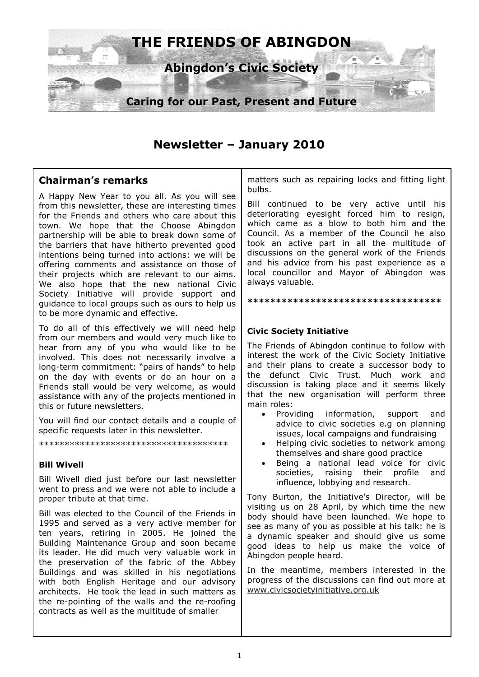

# **Newsletter – January 2010**

## **Chairman's remarks**

A Happy New Year to you all. As you will see from this newsletter, these are interesting times for the Friends and others who care about this town. We hope that the Choose Abingdon partnership will be able to break down some of the barriers that have hitherto prevented good intentions being turned into actions: we will be offering comments and assistance on those of their projects which are relevant to our aims. We also hope that the new national Civic Society Initiative will provide support and guidance to local groups such as ours to help us to be more dynamic and effective.

To do all of this effectively we will need help from our members and would very much like to hear from any of you who would like to be involved. This does not necessarily involve a long-term commitment: "pairs of hands" to help on the day with events or do an hour on a Friends stall would be very welcome, as would assistance with any of the projects mentioned in this or future newsletters.

You will find our contact details and a couple of specific requests later in this newsletter.

#### \*\*\*\*\*\*\*\*\*\*\*\*\*\*\*\*\*\*\*\*\*\*\*\*\*\*\*\*\*\*\*\*\*\*\*\*\*

#### **Bill Wivell**

Bill Wivell died just before our last newsletter went to press and we were not able to include a proper tribute at that time.

Bill was elected to the Council of the Friends in 1995 and served as a very active member for ten years, retiring in 2005. He joined the Building Maintenance Group and soon became its leader. He did much very valuable work in the preservation of the fabric of the Abbey Buildings and was skilled in his negotiations with both English Heritage and our advisory architects. He took the lead in such matters as the re-pointing of the walls and the re-roofing contracts as well as the multitude of smaller

matters such as repairing locks and fitting light bulbs.

Bill continued to be very active until his deteriorating eyesight forced him to resign, which came as a blow to both him and the Council. As a member of the Council he also took an active part in all the multitude of discussions on the general work of the Friends and his advice from his past experience as a local councillor and Mayor of Abingdon was always valuable.

#### **\*\*\*\*\*\*\*\*\*\*\*\*\*\*\*\*\*\*\*\*\*\*\*\*\*\*\*\*\*\*\*\*\*\***

#### **Civic Society Initiative**

The Friends of Abingdon continue to follow with interest the work of the Civic Society Initiative and their plans to create a successor body to the defunct Civic Trust. Much work and discussion is taking place and it seems likely that the new organisation will perform three main roles:

- Providing information, support and advice to civic societies e.g on planning issues, local campaigns and fundraising
- Helping civic societies to network among themselves and share good practice
- Being a national lead voice for civic societies, raising their profile and influence, lobbying and research.

Tony Burton, the Initiative's Director, will be visiting us on 28 April, by which time the new body should have been launched. We hope to see as many of you as possible at his talk: he is a dynamic speaker and should give us some good ideas to help us make the voice of Abingdon people heard.

In the meantime, members interested in the progress of the discussions can find out more at www.civicsocietyinitiative.org.uk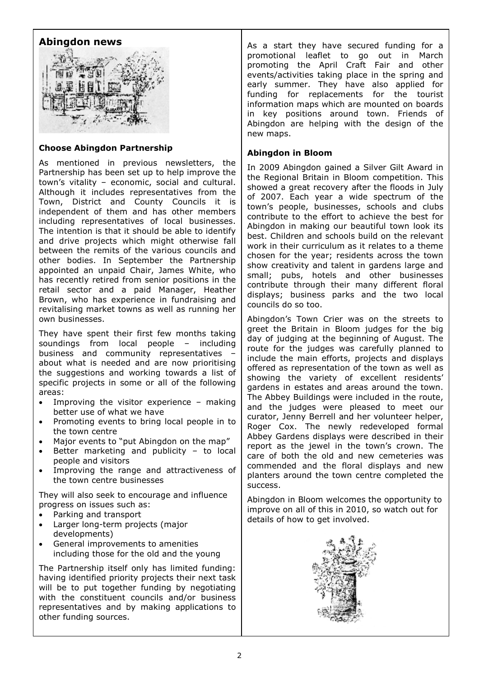### **Abingdon news**



#### **Choose Abingdon Partnership**

As mentioned in previous newsletters, the Partnership has been set up to help improve the town's vitality – economic, social and cultural. Although it includes representatives from the Town, District and County Councils it is independent of them and has other members including representatives of local businesses. The intention is that it should be able to identify and drive projects which might otherwise fall between the remits of the various councils and other bodies. In September the Partnership appointed an unpaid Chair, James White, who has recently retired from senior positions in the retail sector and a paid Manager, Heather Brown, who has experience in fundraising and revitalising market towns as well as running her own businesses.

They have spent their first few months taking soundings from local people – including business and community representatives – about what is needed and are now prioritising the suggestions and working towards a list of specific projects in some or all of the following areas:

- Improving the visitor experience  $-$  making better use of what we have
- Promoting events to bring local people in to the town centre
- Major events to "put Abingdon on the map"
- Better marketing and publicity  $-$  to local people and visitors
- Improving the range and attractiveness of the town centre businesses

They will also seek to encourage and influence progress on issues such as:

- Parking and transport
- Larger long-term projects (major developments)
- General improvements to amenities including those for the old and the young

The Partnership itself only has limited funding: having identified priority projects their next task will be to put together funding by negotiating with the constituent councils and/or business representatives and by making applications to other funding sources.

As a start they have secured funding for a promotional leaflet to go out in March promoting the April Craft Fair and other events/activities taking place in the spring and early summer. They have also applied for funding for replacements for the tourist information maps which are mounted on boards in key positions around town. Friends of Abingdon are helping with the design of the new maps.

#### **Abingdon in Bloom**

In 2009 Abingdon gained a Silver Gilt Award in the Regional Britain in Bloom competition. This showed a great recovery after the floods in July of 2007. Each year a wide spectrum of the town's people, businesses, schools and clubs contribute to the effort to achieve the best for Abingdon in making our beautiful town look its best. Children and schools build on the relevant work in their curriculum as it relates to a theme chosen for the year; residents across the town show creativity and talent in gardens large and small; pubs, hotels and other businesses contribute through their many different floral displays; business parks and the two local councils do so too.

Abingdon's Town Crier was on the streets to greet the Britain in Bloom judges for the big day of judging at the beginning of August. The route for the judges was carefully planned to include the main efforts, projects and displays offered as representation of the town as well as showing the variety of excellent residents' gardens in estates and areas around the town. The Abbey Buildings were included in the route, and the judges were pleased to meet our curator, Jenny Berrell and her volunteer helper, Roger Cox. The newly redeveloped formal Abbey Gardens displays were described in their report as the jewel in the town's crown. The care of both the old and new cemeteries was commended and the floral displays and new planters around the town centre completed the success.

Abingdon in Bloom welcomes the opportunity to improve on all of this in 2010, so watch out for details of how to get involved.

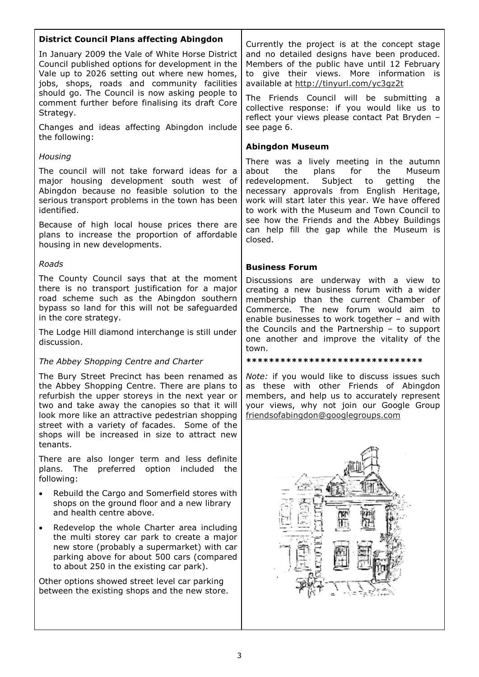### **District Council Plans affecting Abingdon**

In January 2009 the Vale of White Horse District Council published options for development in the Vale up to 2026 setting out where new homes, jobs, shops, roads and community facilities should go. The Council is now asking people to comment further before finalising its draft Core Strategy.

Changes and ideas affecting Abingdon include the following:

#### *Housing*

The council will not take forward ideas for a major housing development south west of Abingdon because no feasible solution to the serious transport problems in the town has been identified.

Because of high local house prices there are plans to increase the proportion of affordable housing in new developments.

#### *Roads*

The County Council says that at the moment there is no transport justification for a major road scheme such as the Abingdon southern bypass so land for this will not be safeguarded in the core strategy.

The Lodge Hill diamond interchange is still under discussion.

#### *The Abbey Shopping Centre and Charter*

The Bury Street Precinct has been renamed as the Abbey Shopping Centre. There are plans to refurbish the upper storeys in the next year or two and take away the canopies so that it will look more like an attractive pedestrian shopping street with a variety of facades. Some of the shops will be increased in size to attract new tenants.

There are also longer term and less definite plans. The preferred option included the following:

- Rebuild the Cargo and Somerfield stores with shops on the ground floor and a new library and health centre above.
- Redevelop the whole Charter area including the multi storey car park to create a major new store (probably a supermarket) with car parking above for about 500 cars (compared to about 250 in the existing car park).

Other options showed street level car parking between the existing shops and the new store. Currently the project is at the concept stage and no detailed designs have been produced. Members of the public have until 12 February to give their views. More information is available at http://tinyurl.com/yc3gz2t

The Friends Council will be submitting a collective response: if you would like us to reflect your views please contact Pat Bryden – see page 6.

#### **Abingdon Museum**

There was a lively meeting in the autumn about the plans for the Museum redevelopment. Subject to getting the necessary approvals from English Heritage, work will start later this year. We have offered to work with the Museum and Town Council to see how the Friends and the Abbey Buildings can help fill the gap while the Museum is closed.

### **Business Forum**

Discussions are underway with a view to creating a new business forum with a wider membership than the current Chamber of Commerce. The new forum would aim to enable businesses to work together – and with the Councils and the Partnership – to support one another and improve the vitality of the town.

#### **\*\*\*\*\*\*\*\*\*\*\*\*\*\*\*\*\*\*\*\*\*\*\*\*\*\*\*\*\*\*\***

*Note:* if you would like to discuss issues such as these with other Friends of Abingdon members, and help us to accurately represent your views, why not join our Google Group friendsofabingdon@googlegroups.com

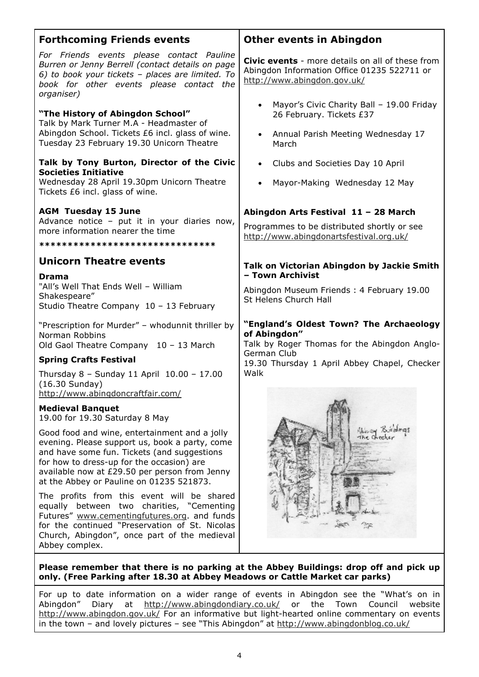| <b>Forthcoming Friends events</b>                                                                                                                                                                                                                                                        | <b>Other events in Abingdon</b>                                                                                                                                                |  |
|------------------------------------------------------------------------------------------------------------------------------------------------------------------------------------------------------------------------------------------------------------------------------------------|--------------------------------------------------------------------------------------------------------------------------------------------------------------------------------|--|
| For Friends events please contact Pauline<br>Burren or Jenny Berrell (contact details on page<br>6) to book your tickets - places are limited. To<br>book for other events please contact the<br>organiser)                                                                              | <b>Civic events</b> - more details on all of these from<br>Abingdon Information Office 01235 522711 or<br>http://www.abingdon.gov.uk/                                          |  |
| "The History of Abingdon School"<br>Talk by Mark Turner M.A - Headmaster of<br>Abingdon School. Tickets £6 incl. glass of wine.<br>Tuesday 23 February 19.30 Unicorn Theatre                                                                                                             | Mayor's Civic Charity Ball - 19.00 Friday<br>26 February. Tickets £37<br>Annual Parish Meeting Wednesday 17<br>$\bullet$<br>March                                              |  |
| Talk by Tony Burton, Director of the Civic<br><b>Societies Initiative</b><br>Wednesday 28 April 19.30pm Unicorn Theatre<br>Tickets £6 incl. glass of wine.                                                                                                                               | Clubs and Societies Day 10 April<br>$\bullet$<br>Mayor-Making Wednesday 12 May                                                                                                 |  |
| <b>AGM Tuesday 15 June</b><br>Advance notice - put it in your diaries now,<br>more information nearer the time<br>********************************                                                                                                                                       | Abingdon Arts Festival 11 - 28 March<br>Programmes to be distributed shortly or see<br>http://www.abingdonartsfestival.org.uk/                                                 |  |
| <b>Unicorn Theatre events</b><br><b>Drama</b><br>"All's Well That Ends Well - William<br>Shakespeare"<br>Studio Theatre Company 10 - 13 February                                                                                                                                         | Talk on Victorian Abingdon by Jackie Smith<br>- Town Archivist<br>Abingdon Museum Friends: 4 February 19.00<br>St Helens Church Hall                                           |  |
| "Prescription for Murder" - whodunnit thriller by<br>Norman Robbins<br>Old Gaol Theatre Company 10 - 13 March                                                                                                                                                                            | "England's Oldest Town? The Archaeology<br>of Abingdon"<br>Talk by Roger Thomas for the Abingdon Anglo-<br>German Club<br>19.30 Thursday 1 April Abbey Chapel, Checker<br>Walk |  |
| <b>Spring Crafts Festival</b><br>Thursday 8 - Sunday 11 April 10.00 - 17.00<br>$(16.30$ Sunday)<br>http://www.abingdoncraftfair.com/                                                                                                                                                     |                                                                                                                                                                                |  |
| <b>Medieval Banquet</b><br>19.00 for 19.30 Saturday 8 May                                                                                                                                                                                                                                |                                                                                                                                                                                |  |
| Good food and wine, entertainment and a jolly<br>evening. Please support us, book a party, come<br>and have some fun. Tickets (and suggestions<br>for how to dress-up for the occasion) are<br>available now at £29.50 per person from Jenny<br>at the Abbey or Pauline on 01235 521873. | Holden Buildings                                                                                                                                                               |  |
| The profits from this event will be shared<br>equally between two charities, "Cementing<br>Futures" www.cementingfutures.org. and funds<br>for the continued "Preservation of St. Nicolas<br>Church, Abingdon", once part of the medieval<br>Abbey complex.                              |                                                                                                                                                                                |  |

**Please remember that there is no parking at the Abbey Buildings: drop off and pick up only. (Free Parking after 18.30 at Abbey Meadows or Cattle Market car parks)** 

For up to date information on a wider range of events in Abingdon see the "What's on in Abingdon" Diary at http://www.abingdondiary.co.uk/ or the Town Council website http://www.abingdon.gov.uk/ For an informative but light-hearted online commentary on events in the town – and lovely pictures – see "This Abingdon" at http://www.abingdonblog.co.uk/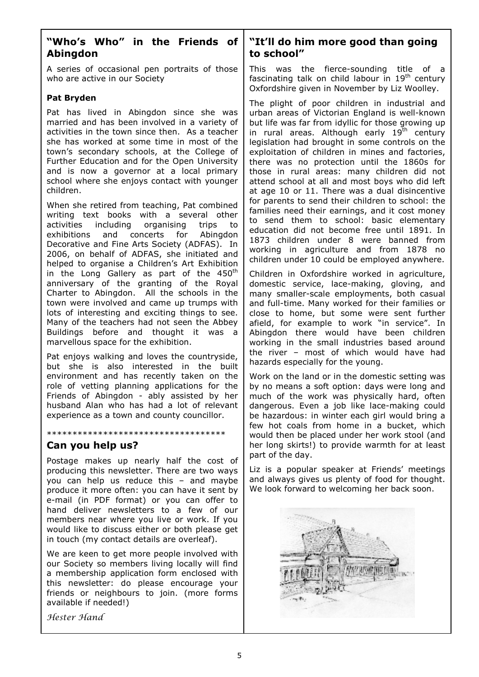## **"Who's Who" in the Friends of Abingdon**

A series of occasional pen portraits of those who are active in our Society

#### **Pat Bryden**

Pat has lived in Abingdon since she was married and has been involved in a variety of activities in the town since then. As a teacher she has worked at some time in most of the town's secondary schools, at the College of Further Education and for the Open University and is now a governor at a local primary school where she enjoys contact with younger children.

When she retired from teaching, Pat combined writing text books with a several other activities including organising trips to exhibitions and concerts for Abingdon Decorative and Fine Arts Society (ADFAS). In 2006, on behalf of ADFAS, she initiated and helped to organise a Children's Art Exhibition in the Long Gallery as part of the  $450<sup>th</sup>$ anniversary of the granting of the Royal Charter to Abingdon. All the schools in the town were involved and came up trumps with lots of interesting and exciting things to see. Many of the teachers had not seen the Abbey Buildings before and thought it was a marvellous space for the exhibition.

Pat enjoys walking and loves the countryside, but she is also interested in the built environment and has recently taken on the role of vetting planning applications for the Friends of Abingdon - ably assisted by her husband Alan who has had a lot of relevant experience as a town and county councillor.

#### \*\*\*\*\*\*\*\*\*\*\*\*\*\*\*\*\*\*\*\*\*\*\*\*\*\*\*\*\*\*\*\*\*\*\*

## **Can you help us?**

Postage makes up nearly half the cost of producing this newsletter. There are two ways you can help us reduce this – and maybe produce it more often: you can have it sent by e-mail (in PDF format) or you can offer to hand deliver newsletters to a few of our members near where you live or work. If you would like to discuss either or both please get in touch (my contact details are overleaf).

We are keen to get more people involved with our Society so members living locally will find a membership application form enclosed with this newsletter: do please encourage your friends or neighbours to join. (more forms available if needed!)

Hester Hand

### **"It'll do him more good than going to school"**

This was the fierce-sounding title of a fascinating talk on child labour in  $19<sup>th</sup>$  century Oxfordshire given in November by Liz Woolley.

The plight of poor children in industrial and urban areas of Victorian England is well-known but life was far from idyllic for those growing up in rural areas. Although early  $19<sup>th</sup>$  century legislation had brought in some controls on the exploitation of children in mines and factories, there was no protection until the 1860s for those in rural areas: many children did not attend school at all and most boys who did left at age 10 or 11. There was a dual disincentive for parents to send their children to school: the families need their earnings, and it cost money to send them to school: basic elementary education did not become free until 1891. In 1873 children under 8 were banned from working in agriculture and from 1878 no children under 10 could be employed anywhere.

Children in Oxfordshire worked in agriculture, domestic service, lace-making, gloving, and many smaller-scale employments, both casual and full-time. Many worked for their families or close to home, but some were sent further afield, for example to work "in service". In Abingdon there would have been children working in the small industries based around the river – most of which would have had hazards especially for the young.

Work on the land or in the domestic setting was by no means a soft option: days were long and much of the work was physically hard, often dangerous. Even a job like lace-making could be hazardous: in winter each girl would bring a few hot coals from home in a bucket, which would then be placed under her work stool (and her long skirts!) to provide warmth for at least part of the day.

Liz is a popular speaker at Friends' meetings and always gives us plenty of food for thought. We look forward to welcoming her back soon.